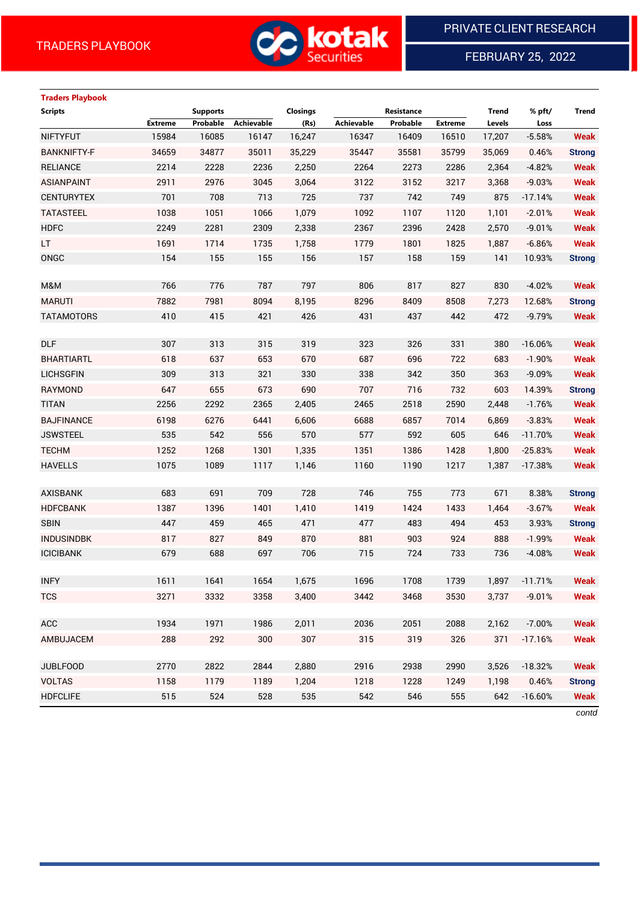

FEBRUARY 25, 2022

 $\overline{a}$ 

# **Traders Playbook**

| <b>Scripts</b>     |                | <b>Supports</b> |            | <b>Closings</b> |            | Resistance |                | <b>Trend</b> | % pft/    | Trend         |
|--------------------|----------------|-----------------|------------|-----------------|------------|------------|----------------|--------------|-----------|---------------|
|                    | <b>Extreme</b> | Probable        | Achievable | (Rs)            | Achievable | Probable   | <b>Extreme</b> | Levels       | Loss      |               |
| <b>NIFTYFUT</b>    | 15984          | 16085           | 16147      | 16,247          | 16347      | 16409      | 16510          | 17,207       | $-5.58%$  | <b>Weak</b>   |
| <b>BANKNIFTY-F</b> | 34659          | 34877           | 35011      | 35,229          | 35447      | 35581      | 35799          | 35,069       | 0.46%     | <b>Strong</b> |
| <b>RELIANCE</b>    | 2214           | 2228            | 2236       | 2,250           | 2264       | 2273       | 2286           | 2,364        | $-4.82%$  | <b>Weak</b>   |
| <b>ASIANPAINT</b>  | 2911           | 2976            | 3045       | 3,064           | 3122       | 3152       | 3217           | 3,368        | $-9.03%$  | <b>Weak</b>   |
| <b>CENTURYTEX</b>  | 701            | 708             | 713        | 725             | 737        | 742        | 749            | 875          | $-17.14%$ | <b>Weak</b>   |
| <b>TATASTEEL</b>   | 1038           | 1051            | 1066       | 1,079           | 1092       | 1107       | 1120           | 1,101        | $-2.01%$  | <b>Weak</b>   |
| <b>HDFC</b>        | 2249           | 2281            | 2309       | 2,338           | 2367       | 2396       | 2428           | 2,570        | $-9.01%$  | <b>Weak</b>   |
| LT.                | 1691           | 1714            | 1735       | 1,758           | 1779       | 1801       | 1825           | 1,887        | $-6.86%$  | <b>Weak</b>   |
| ONGC               | 154            | 155             | 155        | 156             | 157        | 158        | 159            | 141          | 10.93%    | <b>Strong</b> |
|                    |                |                 |            |                 |            |            |                |              |           |               |
| M&M                | 766            | 776             | 787        | 797             | 806        | 817        | 827            | 830          | $-4.02%$  | <b>Weak</b>   |
| <b>MARUTI</b>      | 7882           | 7981            | 8094       | 8,195           | 8296       | 8409       | 8508           | 7,273        | 12.68%    | <b>Strong</b> |
| <b>TATAMOTORS</b>  | 410            | 415             | 421        | 426             | 431        | 437        | 442            | 472          | $-9.79%$  | <b>Weak</b>   |
|                    |                |                 |            |                 |            |            |                |              |           |               |
| <b>DLF</b>         | 307            | 313             | 315        | 319             | 323        | 326        | 331            | 380          | $-16.06%$ | <b>Weak</b>   |
| <b>BHARTIARTL</b>  | 618            | 637             | 653        | 670             | 687        | 696        | 722            | 683          | $-1.90%$  | <b>Weak</b>   |
| <b>LICHSGFIN</b>   | 309            | 313             | 321        | 330             | 338        | 342        | 350            | 363          | $-9.09%$  | <b>Weak</b>   |
| <b>RAYMOND</b>     | 647            | 655             | 673        | 690             | 707        | 716        | 732            | 603          | 14.39%    | <b>Strong</b> |
| <b>TITAN</b>       | 2256           | 2292            | 2365       | 2,405           | 2465       | 2518       | 2590           | 2,448        | $-1.76%$  | <b>Weak</b>   |
| <b>BAJFINANCE</b>  | 6198           | 6276            | 6441       | 6,606           | 6688       | 6857       | 7014           | 6,869        | $-3.83%$  | <b>Weak</b>   |
| <b>JSWSTEEL</b>    | 535            | 542             | 556        | 570             | 577        | 592        | 605            | 646          | $-11.70%$ | <b>Weak</b>   |
| <b>TECHM</b>       | 1252           | 1268            | 1301       | 1,335           | 1351       | 1386       | 1428           | 1,800        | $-25.83%$ | <b>Weak</b>   |
| <b>HAVELLS</b>     | 1075           | 1089            | 1117       | 1,146           | 1160       | 1190       | 1217           | 1,387        | $-17.38%$ | <b>Weak</b>   |
|                    |                |                 |            |                 |            |            |                |              |           |               |
| <b>AXISBANK</b>    | 683            | 691             | 709        | 728             | 746        | 755        | 773            | 671          | 8.38%     | <b>Strong</b> |
| <b>HDFCBANK</b>    | 1387           | 1396            | 1401       | 1,410           | 1419       | 1424       | 1433           | 1,464        | $-3.67%$  | <b>Weak</b>   |
| <b>SBIN</b>        | 447            | 459             | 465        | 471             | 477        | 483        | 494            | 453          | 3.93%     | <b>Strong</b> |
| <b>INDUSINDBK</b>  | 817            | 827             | 849        | 870             | 881        | 903        | 924            | 888          | $-1.99%$  | <b>Weak</b>   |
| <b>ICICIBANK</b>   | 679            | 688             | 697        | 706             | 715        | 724        | 733            | 736          | $-4.08%$  | <b>Weak</b>   |
|                    |                |                 |            |                 |            |            |                |              |           |               |
| <b>INFY</b>        | 1611           | 1641            | 1654       | 1,675           | 1696       | 1708       | 1739           | 1,897        | $-11.71%$ | <b>Weak</b>   |
| <b>TCS</b>         | 3271           | 3332            | 3358       | 3,400           | 3442       | 3468       | 3530           | 3,737        | $-9.01%$  | <b>Weak</b>   |
|                    |                |                 |            |                 |            |            |                |              |           |               |
| ACC                | 1934           | 1971            | 1986       | 2,011           | 2036       | 2051       | 2088           | 2,162        | $-7.00%$  | <b>Weak</b>   |
| AMBUJACEM          | 288            | 292             | 300        | 307             | 315        | 319        | 326            | 371          | $-17.16%$ | <b>Weak</b>   |
|                    |                |                 |            |                 |            |            |                |              |           |               |
| <b>JUBLFOOD</b>    | 2770           | 2822            | 2844       | 2,880           | 2916       | 2938       | 2990           | 3,526        | $-18.32%$ | <b>Weak</b>   |
| <b>VOLTAS</b>      | 1158           | 1179            | 1189       | 1,204           | 1218       | 1228       | 1249           | 1,198        | 0.46%     | <b>Strong</b> |
| <b>HDFCLIFE</b>    | 515            | 524             | 528        | 535             | 542        | 546        | 555            | 642          | $-16.60%$ | <b>Weak</b>   |

*contd*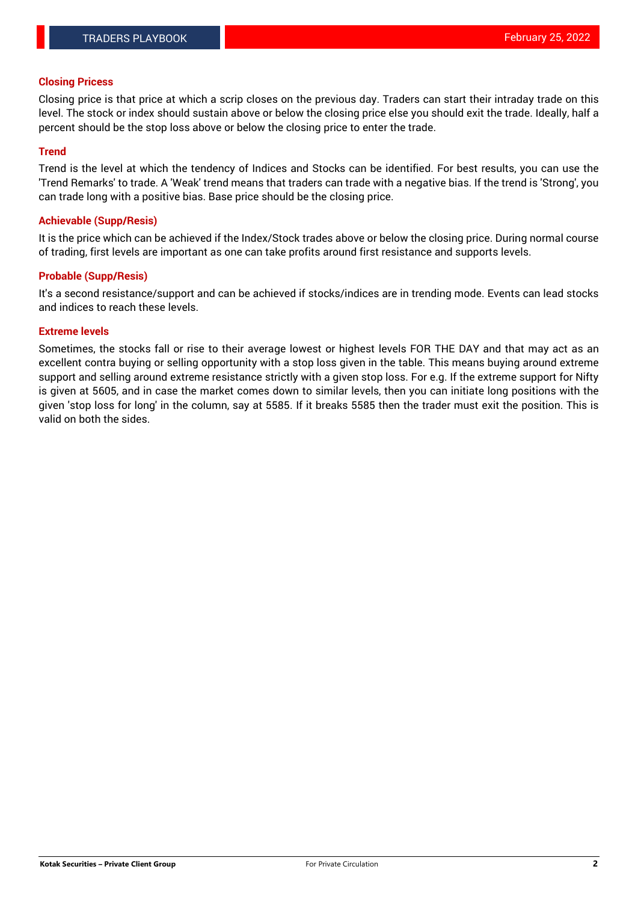### **Closing Pricess**

Closing price is that price at which a scrip closes on the previous day. Traders can start their intraday trade on this level. The stock or index should sustain above or below the closing price else you should exit the trade. Ideally, half a percent should be the stop loss above or below the closing price to enter the trade.

## **Trend**

Trend is the level at which the tendency of Indices and Stocks can be identified. For best results, you can use the 'Trend Remarks' to trade. A 'Weak' trend means that traders can trade with a negative bias. If the trend is 'Strong', you can trade long with a positive bias. Base price should be the closing price.

#### **Achievable (Supp/Resis)**

It is the price which can be achieved if the Index/Stock trades above or below the closing price. During normal course of trading, first levels are important as one can take profits around first resistance and supports levels.

## **Probable (Supp/Resis)**

It's a second resistance/support and can be achieved if stocks/indices are in trending mode. Events can lead stocks and indices to reach these levels.

#### **Extreme levels**

Sometimes, the stocks fall or rise to their average lowest or highest levels FOR THE DAY and that may act as an excellent contra buying or selling opportunity with a stop loss given in the table. This means buying around extreme support and selling around extreme resistance strictly with a given stop loss. For e.g. If the extreme support for Nifty is given at 5605, and in case the market comes down to similar levels, then you can initiate long positions with the given 'stop loss for long' in the column, say at 5585. If it breaks 5585 then the trader must exit the position. This is valid on both the sides.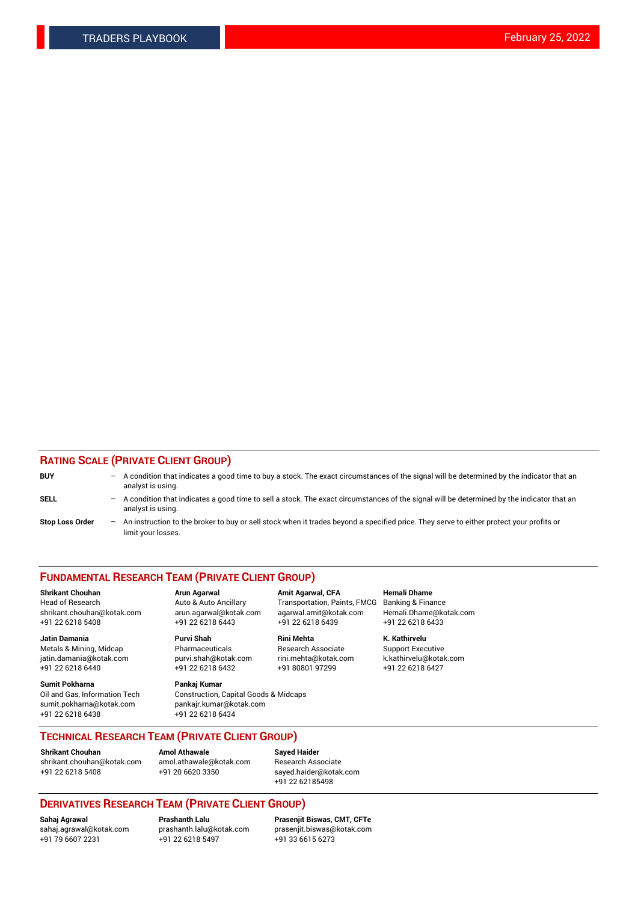## **RATING SCALE (PRIVATE CLIENT GROUP)**

| <b>BUY</b>             | $-$ | A condition that indicates a good time to buy a stock. The exact circumstances of the signal will be determined by the indicator that an<br>analyst is using.  |
|------------------------|-----|----------------------------------------------------------------------------------------------------------------------------------------------------------------|
| <b>SELL</b>            | $-$ | A condition that indicates a good time to sell a stock. The exact circumstances of the signal will be determined by the indicator that an<br>analyst is using. |
| <b>Stop Loss Order</b> | $-$ | An instruction to the broker to buy or sell stock when it trades beyond a specified price. They serve to either protect your profits or<br>limit your losses.  |

#### **FUNDAMENTAL RESEARCH TEAM (PRIVATE CLIENT GROUP)**

**Jatin Damania Purvi Shah Rini Mehta K. Kathirvelu** Metals & Mining, Midcap **Pharmaceuticals** Research Associate Support Executive jatin.damania@kotak.com [purvi.shah@kotak.com](mailto:purvi.shah@kotak.com) rini.mehta@kotak.com [k.kathirvelu@kotak.com](mailto:k.kathirvelu@kotak.com)  $+91$  22 6218 6440  $+91$  22 6218 6432

**Sumit Pokharna Pankaj Kumar** sumit.pokharna@kotak.com pankajr.kumar@kotak.com +91 22 6218 6438 +91 22 6218 6434

**Shrikant Chouhan Arun Agarwal Amit Agarwal, CFA Hemali Dhame**

Oil and Gas, Information Tech Construction, Capital Goods & Midcaps

Head of Research Auto & Auto Ancillary Transportation, Paints, FMCG Banking & Finance shrikant.chouhan@kotak.com arun.agarwal@kotak.com agarwal.amit@kotak.com Hemali.Dhame@kotak.com +91 22 6218 5408 +91 22 6218 6443 +91 22 6218 6439 +91 22 6218 6433

**TECHNICAL RESEARCH TEAM (PRIVATE CLIENT GROUP)**

[shrikant.chouhan@kotak.com](mailto:shrikant.chouhan@kotak.com) [amol.athawale@kotak.com](mailto:amol.athawale@kotak.com) Research Associate +91 22 6218 5408 +91 20 6620 3350 [sayed.haider@kotak.com](mailto:sayed.haider@kotak.com)

**Shrikant Chouhan Amol Athawale Sayed Haider**

+91 22 62185498

# **DERIVATIVES RESEARCH TEAM (PRIVATE CLIENT GROUP)**

 $+91$  22 6218 5497

**Sahaj Agrawal Prashanth Lalu Prasenjit Biswas, CMT, CFTe** [sahaj.agrawal@kotak.com](mailto:sahaj.agrawal@kotak.com) [prashanth.lalu@kotak.com](mailto:prashanth.lalu@kotak.com) [prasenjit.biswas@kotak.com](mailto:prasenjit.biswas@kotak.com)